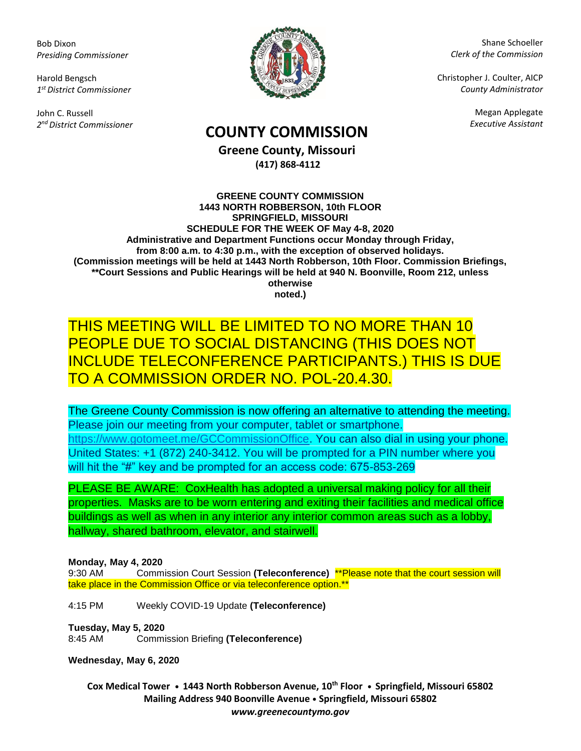Bob Dixon *Presiding Commissioner*

Harold Bengsch *1 st District Commissioner*

John C. Russell *2 nd District Commissioner*



Shane Schoeller *Clerk of the Commission*

Christopher J. Coulter, AICP *County Administrator*

Megan Applegate

# *Executive Assistant* **COUNTY COMMISSION**

**Greene County, Missouri (417) 868-4112**

**GREENE COUNTY COMMISSION 1443 NORTH ROBBERSON, 10th FLOOR SPRINGFIELD, MISSOURI SCHEDULE FOR THE WEEK OF May 4-8, 2020 Administrative and Department Functions occur Monday through Friday, from 8:00 a.m. to 4:30 p.m., with the exception of observed holidays. (Commission meetings will be held at 1443 North Robberson, 10th Floor. Commission Briefings, \*\*Court Sessions and Public Hearings will be held at 940 N. Boonville, Room 212, unless otherwise noted.)**

### THIS MEETING WILL BE LIMITED TO NO MORE THAN 10 PEOPLE DUE TO SOCIAL DISTANCING (THIS DOES NOT INCLUDE TELECONFERENCE PARTICIPANTS.) THIS IS DUE TO A COMMISSION ORDER NO. POL-20.4.30.

The Greene County Commission is now offering an alternative to attending the meeting. Please join our meeting from your computer, tablet or smartphone. [https://www.gotomeet.me/GCCommissionOffice.](https://www.gotomeet.me/GCCommissionOffice) You can also dial in using your phone. United States: +1 (872) 240-3412. You will be prompted for a PIN number where you will hit the "#" key and be prompted for an access code: 675-853-269

PLEASE BE AWARE: CoxHealth has adopted a universal making policy for all their properties. Masks are to be worn entering and exiting their facilities and medical office buildings as well as when in any interior any interior common areas such as a lobby, hallway, shared bathroom, elevator, and stairwell.

#### **Monday, May 4, 2020**

9:30 AM Commission Court Session **(Teleconference)** \*\*Please note that the court session will take place in the Commission Office or via teleconference option.\*\*

4:15 PM Weekly COVID-19 Update **(Teleconference)**

**Tuesday, May 5, 2020**

8:45 AM Commission Briefing **(Teleconference)**

**Wednesday, May 6, 2020**

**Cox Medical Tower • 1443 North Robberson Avenue, 10th Floor • Springfield, Missouri 65802 Mailing Address 940 Boonville Avenue • Springfield, Missouri 65802** *www.greenecountymo.gov*